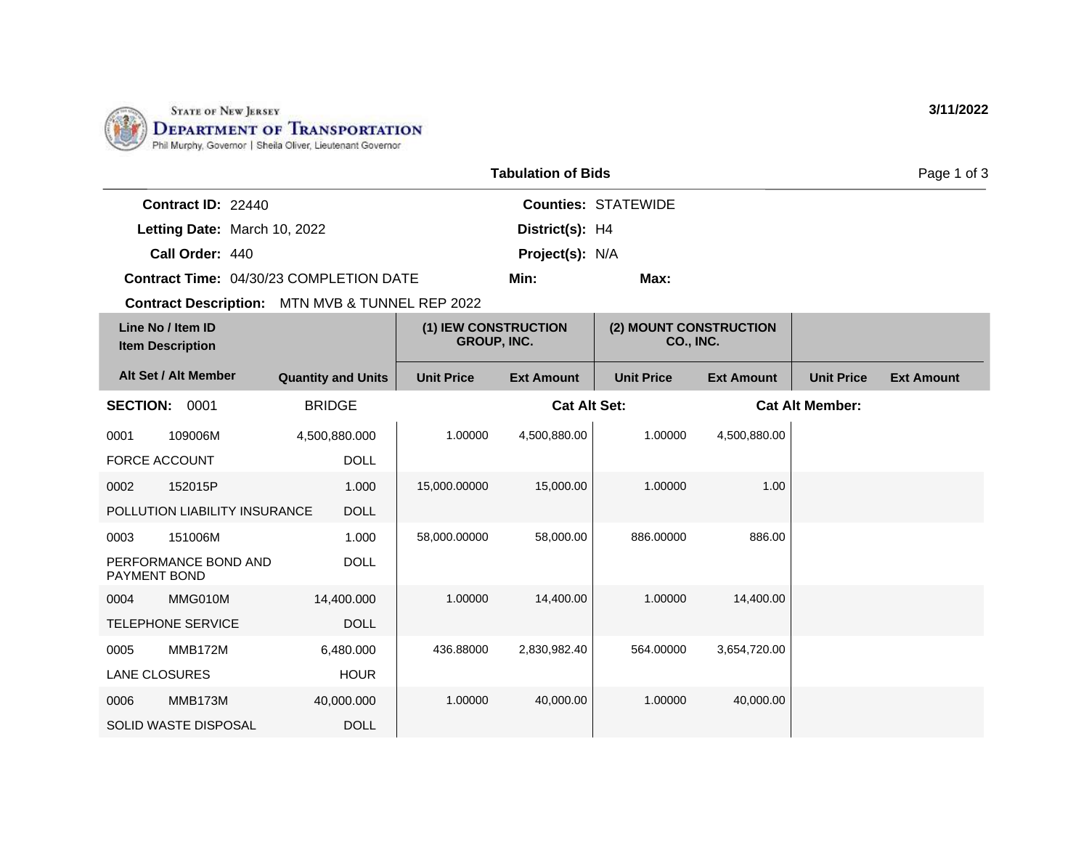

| <b>Tabulation of Bids</b>                    |                               |                                         |                                            |                     |                                     | Page 1 of 3       |                        |                   |
|----------------------------------------------|-------------------------------|-----------------------------------------|--------------------------------------------|---------------------|-------------------------------------|-------------------|------------------------|-------------------|
|                                              | Contract ID: 22440            |                                         |                                            |                     | <b>Counties: STATEWIDE</b>          |                   |                        |                   |
|                                              | Letting Date: March 10, 2022  |                                         |                                            | District(s): H4     |                                     |                   |                        |                   |
|                                              | Call Order: 440               |                                         |                                            | Project(s): N/A     |                                     |                   |                        |                   |
|                                              |                               | Contract Time: 04/30/23 COMPLETION DATE |                                            | Min:                | Max:                                |                   |                        |                   |
|                                              | <b>Contract Description:</b>  | MTN MVB & TUNNEL REP 2022               |                                            |                     |                                     |                   |                        |                   |
| Line No / Item ID<br><b>Item Description</b> |                               |                                         | (1) IEW CONSTRUCTION<br><b>GROUP, INC.</b> |                     | (2) MOUNT CONSTRUCTION<br>CO., INC. |                   |                        |                   |
|                                              | Alt Set / Alt Member          | <b>Quantity and Units</b>               | <b>Unit Price</b>                          | <b>Ext Amount</b>   | <b>Unit Price</b>                   | <b>Ext Amount</b> | <b>Unit Price</b>      | <b>Ext Amount</b> |
| <b>SECTION:</b>                              | 0001                          | <b>BRIDGE</b>                           |                                            | <b>Cat Alt Set:</b> |                                     |                   | <b>Cat Alt Member:</b> |                   |
| 0001                                         | 109006M                       | 4,500,880.000                           | 1.00000                                    | 4,500,880.00        | 1.00000                             | 4,500,880.00      |                        |                   |
| <b>FORCE ACCOUNT</b>                         |                               | <b>DOLL</b>                             |                                            |                     |                                     |                   |                        |                   |
| 0002                                         | 152015P                       | 1.000                                   | 15,000.00000                               | 15,000.00           | 1.00000                             | 1.00              |                        |                   |
|                                              | POLLUTION LIABILITY INSURANCE | <b>DOLL</b>                             |                                            |                     |                                     |                   |                        |                   |
| 0003                                         | 151006M                       | 1.000                                   | 58,000.00000                               | 58,000.00           | 886.00000                           | 886.00            |                        |                   |
| <b>PAYMENT BOND</b>                          | PERFORMANCE BOND AND          | <b>DOLL</b>                             |                                            |                     |                                     |                   |                        |                   |
| 0004                                         | MMG010M                       | 14,400.000                              | 1.00000                                    | 14,400.00           | 1.00000                             | 14,400.00         |                        |                   |
|                                              | <b>TELEPHONE SERVICE</b>      | <b>DOLL</b>                             |                                            |                     |                                     |                   |                        |                   |
| 0005                                         | MMB172M                       | 6,480.000                               | 436.88000                                  | 2,830,982.40        | 564.00000                           | 3,654,720.00      |                        |                   |
| LANE CLOSURES                                |                               | <b>HOUR</b>                             |                                            |                     |                                     |                   |                        |                   |
| 0006                                         | MMB173M                       | 40,000.000                              | 1.00000                                    | 40,000.00           | 1.00000                             | 40,000.00         |                        |                   |
|                                              | <b>SOLID WASTE DISPOSAL</b>   | <b>DOLL</b>                             |                                            |                     |                                     |                   |                        |                   |

**3/11/2022**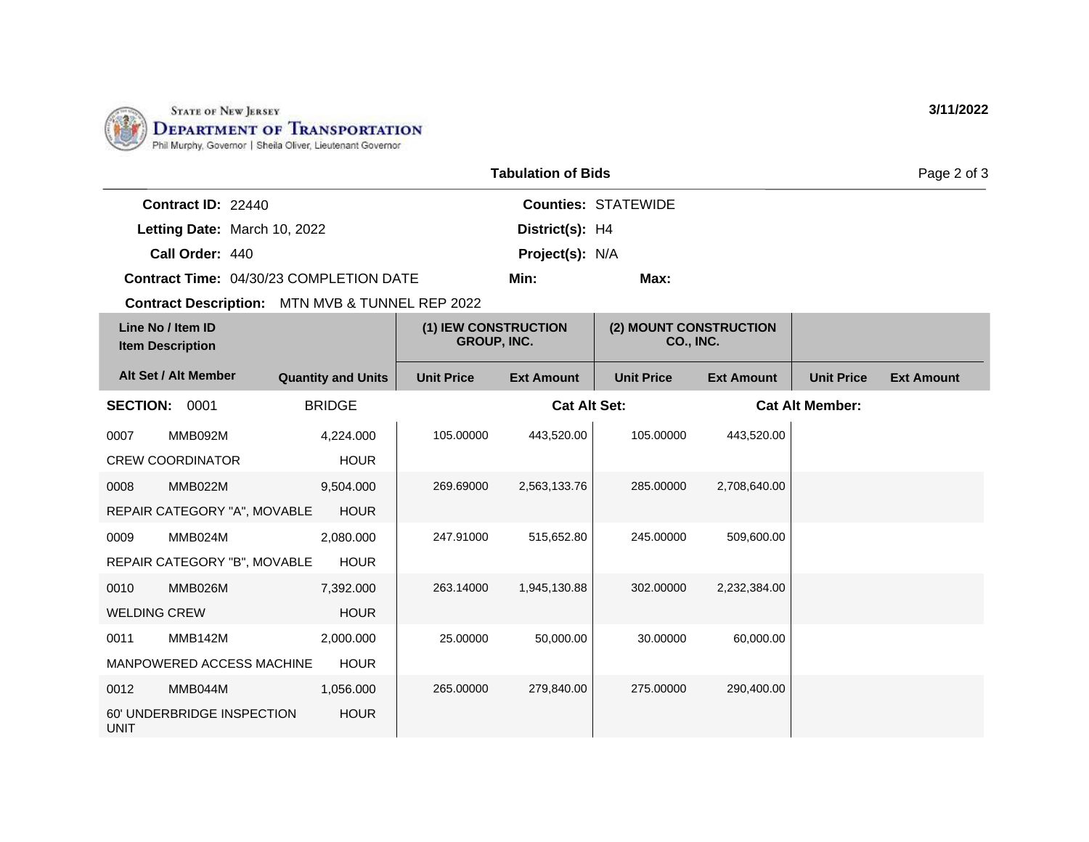

| <b>Tabulation of Bids</b> |                                                 |                           |                                     |                     |                                     | Page 2 of 3       |                        |                   |
|---------------------------|-------------------------------------------------|---------------------------|-------------------------------------|---------------------|-------------------------------------|-------------------|------------------------|-------------------|
|                           | Contract ID: 22440                              |                           |                                     |                     | <b>Counties: STATEWIDE</b>          |                   |                        |                   |
|                           | Letting Date: March 10, 2022                    |                           |                                     | District(s): H4     |                                     |                   |                        |                   |
|                           | Call Order: 440                                 |                           |                                     | Project(s): N/A     |                                     |                   |                        |                   |
|                           | Contract Time: 04/30/23 COMPLETION DATE         |                           |                                     | Min:                | Max:                                |                   |                        |                   |
|                           | Contract Description: MTN MVB & TUNNEL REP 2022 |                           |                                     |                     |                                     |                   |                        |                   |
|                           | Line No / Item ID<br><b>Item Description</b>    |                           | (1) IEW CONSTRUCTION<br>GROUP, INC. |                     | (2) MOUNT CONSTRUCTION<br>CO., INC. |                   |                        |                   |
|                           | Alt Set / Alt Member                            | <b>Quantity and Units</b> | <b>Unit Price</b>                   | <b>Ext Amount</b>   | <b>Unit Price</b>                   | <b>Ext Amount</b> | <b>Unit Price</b>      | <b>Ext Amount</b> |
| <b>SECTION:</b>           | 0001                                            | <b>BRIDGE</b>             |                                     | <b>Cat Alt Set:</b> |                                     |                   | <b>Cat Alt Member:</b> |                   |
| 0007                      | MMB092M                                         | 4,224.000                 | 105.00000                           | 443,520.00          | 105.00000                           | 443,520.00        |                        |                   |
|                           | <b>CREW COORDINATOR</b>                         | <b>HOUR</b>               |                                     |                     |                                     |                   |                        |                   |
| 0008                      | MMB022M                                         | 9,504.000                 | 269.69000                           | 2,563,133.76        | 285.00000                           | 2,708,640.00      |                        |                   |
|                           | REPAIR CATEGORY "A", MOVABLE                    | <b>HOUR</b>               |                                     |                     |                                     |                   |                        |                   |
| 0009                      | MMB024M                                         | 2,080.000                 | 247.91000                           | 515,652.80          | 245.00000                           | 509,600.00        |                        |                   |
|                           | REPAIR CATEGORY "B", MOVABLE                    | <b>HOUR</b>               |                                     |                     |                                     |                   |                        |                   |
| 0010                      | MMB026M                                         | 7,392.000                 | 263.14000                           | 1,945,130.88        | 302.00000                           | 2,232,384.00      |                        |                   |
| <b>WELDING CREW</b>       |                                                 | <b>HOUR</b>               |                                     |                     |                                     |                   |                        |                   |
| 0011                      | MMB142M                                         | 2,000.000                 | 25.00000                            | 50,000.00           | 30.00000                            | 60,000.00         |                        |                   |
|                           | MANPOWERED ACCESS MACHINE                       | <b>HOUR</b>               |                                     |                     |                                     |                   |                        |                   |
| 0012                      | MMB044M                                         | 1,056.000                 | 265.00000                           | 279,840.00          | 275.00000                           | 290,400.00        |                        |                   |
| <b>UNIT</b>               | 60' UNDERBRIDGE INSPECTION                      | <b>HOUR</b>               |                                     |                     |                                     |                   |                        |                   |

**3/11/2022**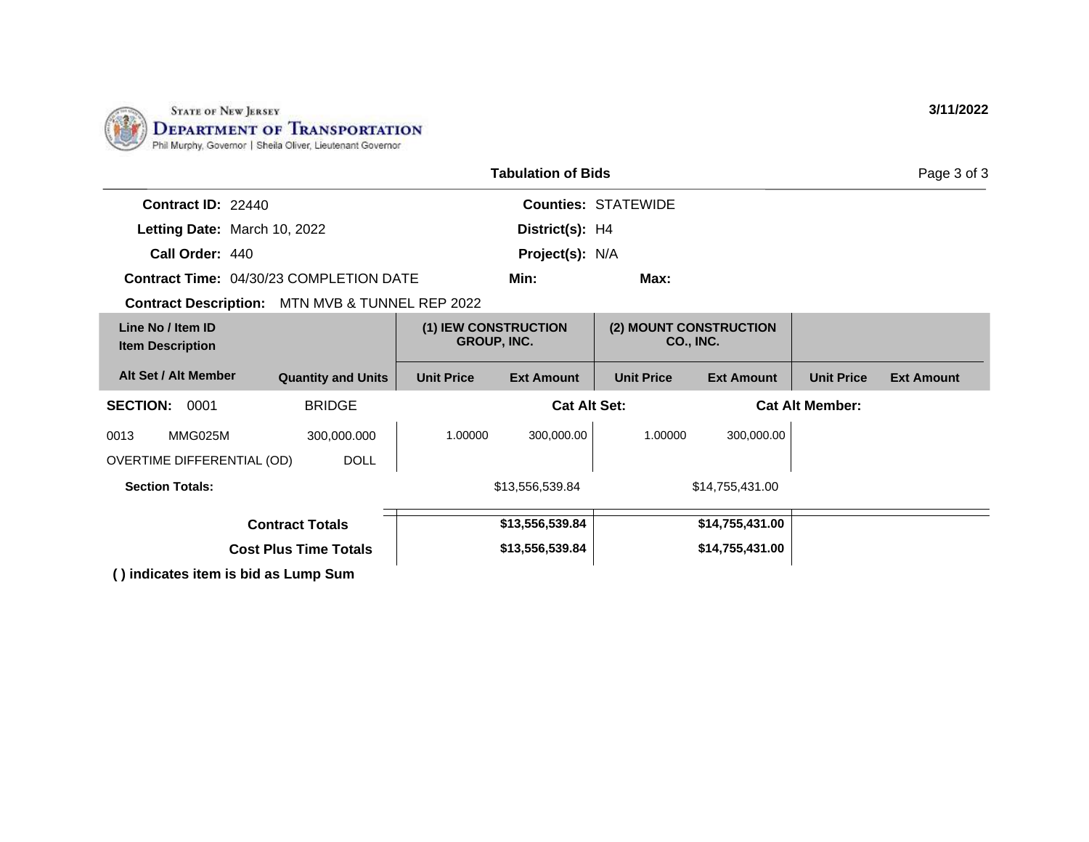

| <b>Tabulation of Bids</b>                              |                                                                                                                |                                            |                     |                            |                                            |                        | Page 3 of 3       |
|--------------------------------------------------------|----------------------------------------------------------------------------------------------------------------|--------------------------------------------|---------------------|----------------------------|--------------------------------------------|------------------------|-------------------|
| Contract ID: 22440                                     |                                                                                                                |                                            |                     | <b>Counties: STATEWIDE</b> |                                            |                        |                   |
| Letting Date: March 10, 2022                           |                                                                                                                |                                            | District(s): H4     |                            |                                            |                        |                   |
| Call Order: 440                                        |                                                                                                                | Project(s): N/A                            |                     |                            |                                            |                        |                   |
| <b>Contract Time: 04/30/23 COMPLETION DATE</b>         |                                                                                                                |                                            | Min:                | Max:                       |                                            |                        |                   |
| <b>Contract Description:</b> MTN MVB & TUNNEL REP 2022 |                                                                                                                |                                            |                     |                            |                                            |                        |                   |
| Line No / Item ID<br><b>Item Description</b>           |                                                                                                                | (1) IEW CONSTRUCTION<br><b>GROUP, INC.</b> |                     |                            | (2) MOUNT CONSTRUCTION<br><b>CO., INC.</b> |                        |                   |
| Alt Set / Alt Member                                   | <b>Quantity and Units</b>                                                                                      | <b>Unit Price</b>                          | <b>Ext Amount</b>   | <b>Unit Price</b>          | <b>Ext Amount</b>                          | <b>Unit Price</b>      | <b>Ext Amount</b> |
| <b>SECTION:</b><br>0001                                | <b>BRIDGE</b>                                                                                                  |                                            | <b>Cat Alt Set:</b> |                            |                                            | <b>Cat Alt Member:</b> |                   |
| MMG025M<br>0013                                        | 300,000.000                                                                                                    | 1.00000                                    | 300,000.00          | 1.00000                    | 300,000.00                                 |                        |                   |
| OVERTIME DIFFERENTIAL (OD)                             | <b>DOLL</b>                                                                                                    |                                            |                     |                            |                                            |                        |                   |
| <b>Section Totals:</b>                                 |                                                                                                                | \$13,556,539.84                            |                     | \$14,755,431.00            |                                            |                        |                   |
| <b>Contract Totals</b>                                 |                                                                                                                |                                            | \$13,556,539.84     |                            | \$14,755,431.00                            |                        |                   |
|                                                        | <b>Cost Plus Time Totals</b>                                                                                   |                                            | \$13,556,539.84     |                            | \$14,755,431.00                            |                        |                   |
|                                                        | The district the state of the basic control of the state of the state of the state of the state of the state o |                                            |                     |                            |                                            |                        |                   |

**( ) indicates item is bid as Lump Sum**